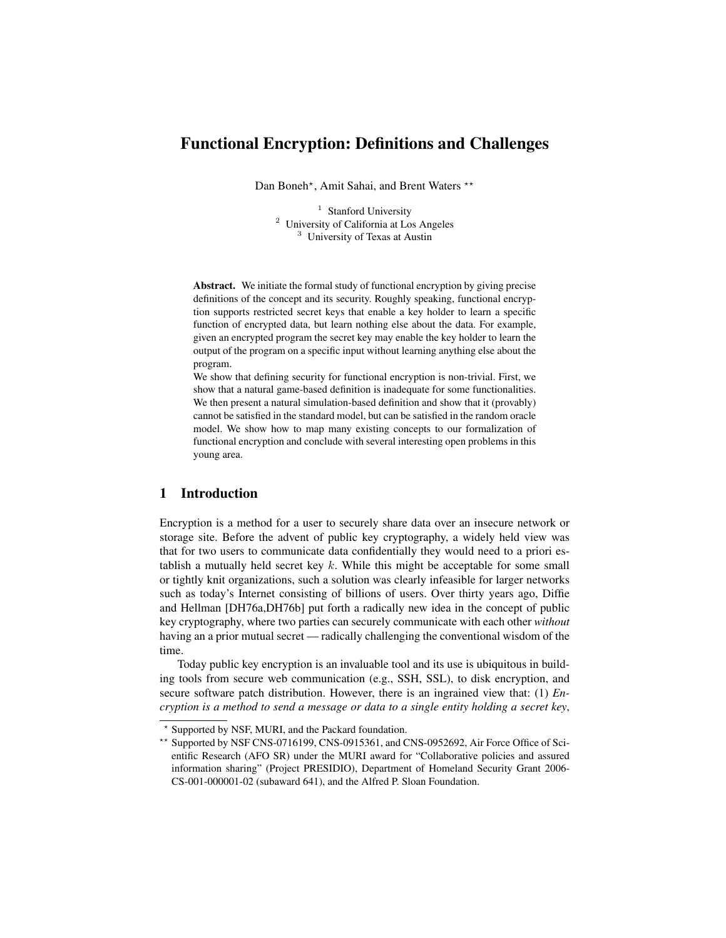# Functional Encryption: Definitions and Challenges

Dan Boneh\*, Amit Sahai, and Brent Waters \*\*

<sup>1</sup> Stanford University <sup>2</sup> University of California at Los Angeles <sup>3</sup> University of Texas at Austin

Abstract. We initiate the formal study of functional encryption by giving precise definitions of the concept and its security. Roughly speaking, functional encryption supports restricted secret keys that enable a key holder to learn a specific function of encrypted data, but learn nothing else about the data. For example, given an encrypted program the secret key may enable the key holder to learn the output of the program on a specific input without learning anything else about the program.

We show that defining security for functional encryption is non-trivial. First, we show that a natural game-based definition is inadequate for some functionalities. We then present a natural simulation-based definition and show that it (provably) cannot be satisfied in the standard model, but can be satisfied in the random oracle model. We show how to map many existing concepts to our formalization of functional encryption and conclude with several interesting open problems in this young area.

### 1 Introduction

Encryption is a method for a user to securely share data over an insecure network or storage site. Before the advent of public key cryptography, a widely held view was that for two users to communicate data confidentially they would need to a priori establish a mutually held secret key  $k$ . While this might be acceptable for some small or tightly knit organizations, such a solution was clearly infeasible for larger networks such as today's Internet consisting of billions of users. Over thirty years ago, Diffie and Hellman [DH76a,DH76b] put forth a radically new idea in the concept of public key cryptography, where two parties can securely communicate with each other *without* having an a prior mutual secret — radically challenging the conventional wisdom of the time.

Today public key encryption is an invaluable tool and its use is ubiquitous in building tools from secure web communication (e.g., SSH, SSL), to disk encryption, and secure software patch distribution. However, there is an ingrained view that: (1) *Encryption is a method to send a message or data to a single entity holding a secret key*,

<sup>?</sup> Supported by NSF, MURI, and the Packard foundation.

<sup>\*\*</sup> Supported by NSF CNS-0716199, CNS-0915361, and CNS-0952692, Air Force Office of Scientific Research (AFO SR) under the MURI award for "Collaborative policies and assured information sharing" (Project PRESIDIO), Department of Homeland Security Grant 2006- CS-001-000001-02 (subaward 641), and the Alfred P. Sloan Foundation.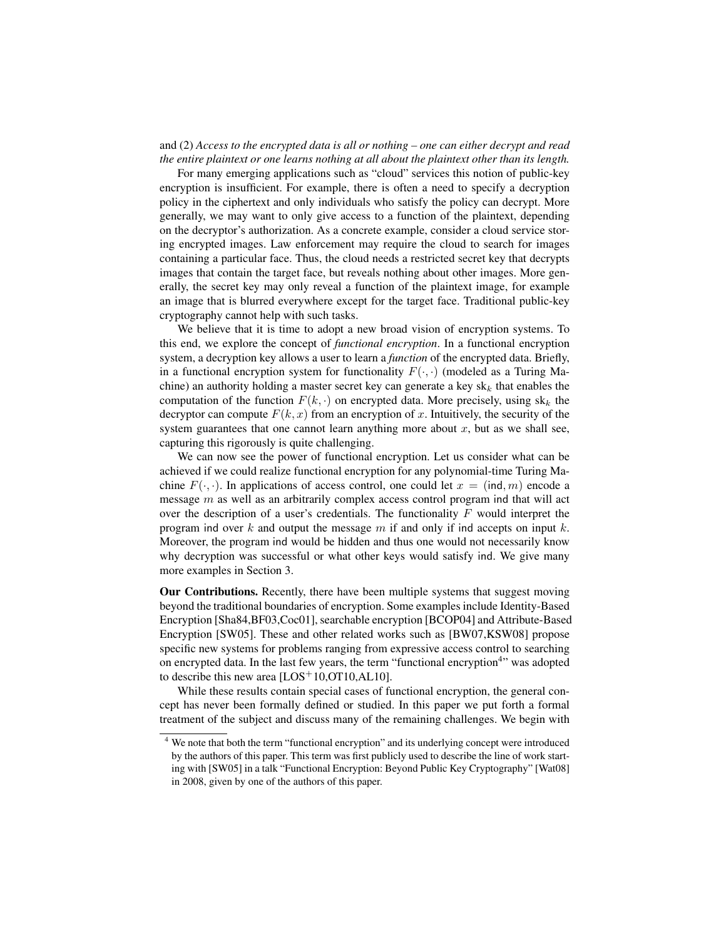and (2) *Access to the encrypted data is all or nothing – one can either decrypt and read the entire plaintext or one learns nothing at all about the plaintext other than its length.*

For many emerging applications such as "cloud" services this notion of public-key encryption is insufficient. For example, there is often a need to specify a decryption policy in the ciphertext and only individuals who satisfy the policy can decrypt. More generally, we may want to only give access to a function of the plaintext, depending on the decryptor's authorization. As a concrete example, consider a cloud service storing encrypted images. Law enforcement may require the cloud to search for images containing a particular face. Thus, the cloud needs a restricted secret key that decrypts images that contain the target face, but reveals nothing about other images. More generally, the secret key may only reveal a function of the plaintext image, for example an image that is blurred everywhere except for the target face. Traditional public-key cryptography cannot help with such tasks.

We believe that it is time to adopt a new broad vision of encryption systems. To this end, we explore the concept of *functional encryption*. In a functional encryption system, a decryption key allows a user to learn a *function* of the encrypted data. Briefly, in a functional encryption system for functionality  $F(\cdot, \cdot)$  (modeled as a Turing Machine) an authority holding a master secret key can generate a key  $sk_k$  that enables the computation of the function  $F(k, \cdot)$  on encrypted data. More precisely, using sk<sub>k</sub> the decryptor can compute  $F(k, x)$  from an encryption of x. Intuitively, the security of the system guarantees that one cannot learn anything more about  $x$ , but as we shall see, capturing this rigorously is quite challenging.

We can now see the power of functional encryption. Let us consider what can be achieved if we could realize functional encryption for any polynomial-time Turing Machine  $F(\cdot, \cdot)$ . In applications of access control, one could let  $x = (\text{ind}, m)$  encode a message  $m$  as well as an arbitrarily complex access control program ind that will act over the description of a user's credentials. The functionality  $F$  would interpret the program ind over k and output the message  $m$  if and only if ind accepts on input k. Moreover, the program ind would be hidden and thus one would not necessarily know why decryption was successful or what other keys would satisfy ind. We give many more examples in Section 3.

Our Contributions. Recently, there have been multiple systems that suggest moving beyond the traditional boundaries of encryption. Some examples include Identity-Based Encryption [Sha84,BF03,Coc01], searchable encryption [BCOP04] and Attribute-Based Encryption [SW05]. These and other related works such as [BW07,KSW08] propose specific new systems for problems ranging from expressive access control to searching on encrypted data. In the last few years, the term "functional encryption<sup>4</sup>" was adopted to describe this new area  $[LOS<sup>+</sup>10, OT10,AL10]$ .

While these results contain special cases of functional encryption, the general concept has never been formally defined or studied. In this paper we put forth a formal treatment of the subject and discuss many of the remaining challenges. We begin with

<sup>4</sup> We note that both the term "functional encryption" and its underlying concept were introduced by the authors of this paper. This term was first publicly used to describe the line of work starting with [SW05] in a talk "Functional Encryption: Beyond Public Key Cryptography" [Wat08] in 2008, given by one of the authors of this paper.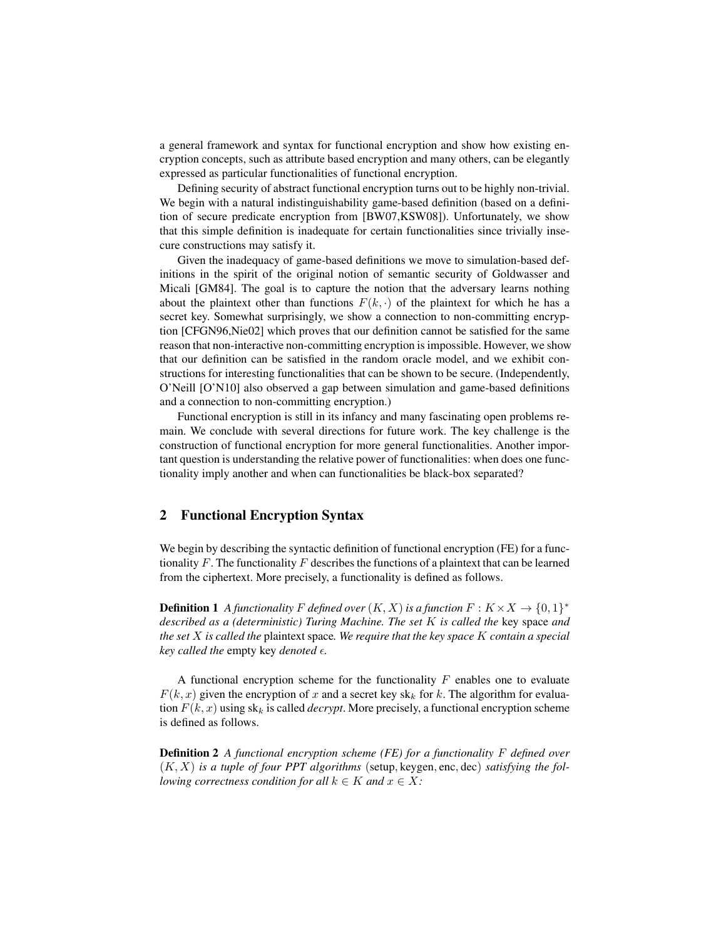a general framework and syntax for functional encryption and show how existing encryption concepts, such as attribute based encryption and many others, can be elegantly expressed as particular functionalities of functional encryption.

Defining security of abstract functional encryption turns out to be highly non-trivial. We begin with a natural indistinguishability game-based definition (based on a definition of secure predicate encryption from [BW07,KSW08]). Unfortunately, we show that this simple definition is inadequate for certain functionalities since trivially insecure constructions may satisfy it.

Given the inadequacy of game-based definitions we move to simulation-based definitions in the spirit of the original notion of semantic security of Goldwasser and Micali [GM84]. The goal is to capture the notion that the adversary learns nothing about the plaintext other than functions  $F(k, \cdot)$  of the plaintext for which he has a secret key. Somewhat surprisingly, we show a connection to non-committing encryption [CFGN96,Nie02] which proves that our definition cannot be satisfied for the same reason that non-interactive non-committing encryption is impossible. However, we show that our definition can be satisfied in the random oracle model, and we exhibit constructions for interesting functionalities that can be shown to be secure. (Independently, O'Neill [O'N10] also observed a gap between simulation and game-based definitions and a connection to non-committing encryption.)

Functional encryption is still in its infancy and many fascinating open problems remain. We conclude with several directions for future work. The key challenge is the construction of functional encryption for more general functionalities. Another important question is understanding the relative power of functionalities: when does one functionality imply another and when can functionalities be black-box separated?

# 2 Functional Encryption Syntax

We begin by describing the syntactic definition of functional encryption (FE) for a functionality F. The functionality F describes the functions of a plaintext that can be learned from the ciphertext. More precisely, a functionality is defined as follows.

**Definition 1** *A functionality F defined over*  $(K, X)$  *is a function*  $F: K \times X \rightarrow \{0, 1\}^*$ *described as a (deterministic) Turing Machine. The set* K *is called the* key space *and the set* X *is called the* plaintext space*. We require that the key space* K *contain a special key called the* empty key *denoted .*

A functional encryption scheme for the functionality  $F$  enables one to evaluate  $F(k, x)$  given the encryption of x and a secret key sk<sub>k</sub> for k. The algorithm for evaluation  $F(k, x)$  using sk<sub>k</sub> is called *decrypt*. More precisely, a functional encryption scheme is defined as follows.

Definition 2 *A functional encryption scheme (FE) for a functionality* F *defined over* (K, X) *is a tuple of four PPT algorithms* (setup, keygen, enc, dec) *satisfying the following correctness condition for all*  $k \in K$  *and*  $x \in X$ *:*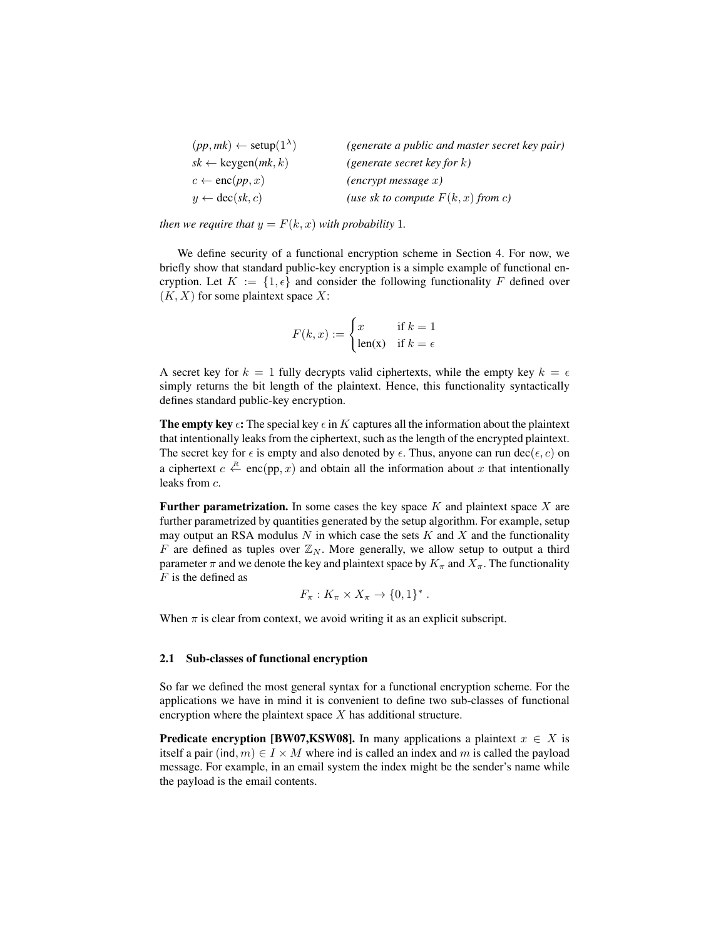| $(pp,mk) \leftarrow \text{setup}(1^{\lambda})$ | <i>(generate a public and master secret key pair)</i> |
|------------------------------------------------|-------------------------------------------------------|
| $sk \leftarrow \text{keygen}(mk, k)$           | (generate secret key for $k$ )                        |
| $c \leftarrow \text{enc}(pp, x)$               | $\ell$ encrypt message x)                             |
| $y \leftarrow \text{dec}(sk, c)$               | (use sk to compute $F(k, x)$ from c)                  |

*then we require that*  $y = F(k, x)$  *with probability* 1*.* 

We define security of a functional encryption scheme in Section 4. For now, we briefly show that standard public-key encryption is a simple example of functional encryption. Let  $K := \{1, \epsilon\}$  and consider the following functionality F defined over  $(K, X)$  for some plaintext space X:

$$
F(k, x) := \begin{cases} x & \text{if } k = 1\\ \text{len}(x) & \text{if } k = \epsilon \end{cases}
$$

A secret key for  $k = 1$  fully decrypts valid ciphertexts, while the empty key  $k = \epsilon$ simply returns the bit length of the plaintext. Hence, this functionality syntactically defines standard public-key encryption.

**The empty key**  $\epsilon$ **:** The special key  $\epsilon$  in K captures all the information about the plaintext that intentionally leaks from the ciphertext, such as the length of the encrypted plaintext. The secret key for  $\epsilon$  is empty and also denoted by  $\epsilon$ . Thus, anyone can run dec( $\epsilon$ , c) on a ciphertext  $c \stackrel{R}{\leftarrow} \text{enc}(pp, x)$  and obtain all the information about x that intentionally leaks from c.

Further parametrization. In some cases the key space  $K$  and plaintext space  $X$  are further parametrized by quantities generated by the setup algorithm. For example, setup may output an RSA modulus  $N$  in which case the sets  $K$  and  $X$  and the functionality F are defined as tuples over  $\mathbb{Z}_N$ . More generally, we allow setup to output a third parameter  $\pi$  and we denote the key and plaintext space by  $K_{\pi}$  and  $X_{\pi}$ . The functionality  $F$  is the defined as

$$
F_{\pi}: K_{\pi} \times X_{\pi} \to \{0,1\}^*.
$$

When  $\pi$  is clear from context, we avoid writing it as an explicit subscript.

### 2.1 Sub-classes of functional encryption

So far we defined the most general syntax for a functional encryption scheme. For the applications we have in mind it is convenient to define two sub-classes of functional encryption where the plaintext space  $X$  has additional structure.

**Predicate encryption [BW07,KSW08].** In many applications a plaintext  $x \in X$  is itself a pair (ind,  $m \in I \times M$  where ind is called an index and m is called the payload message. For example, in an email system the index might be the sender's name while the payload is the email contents.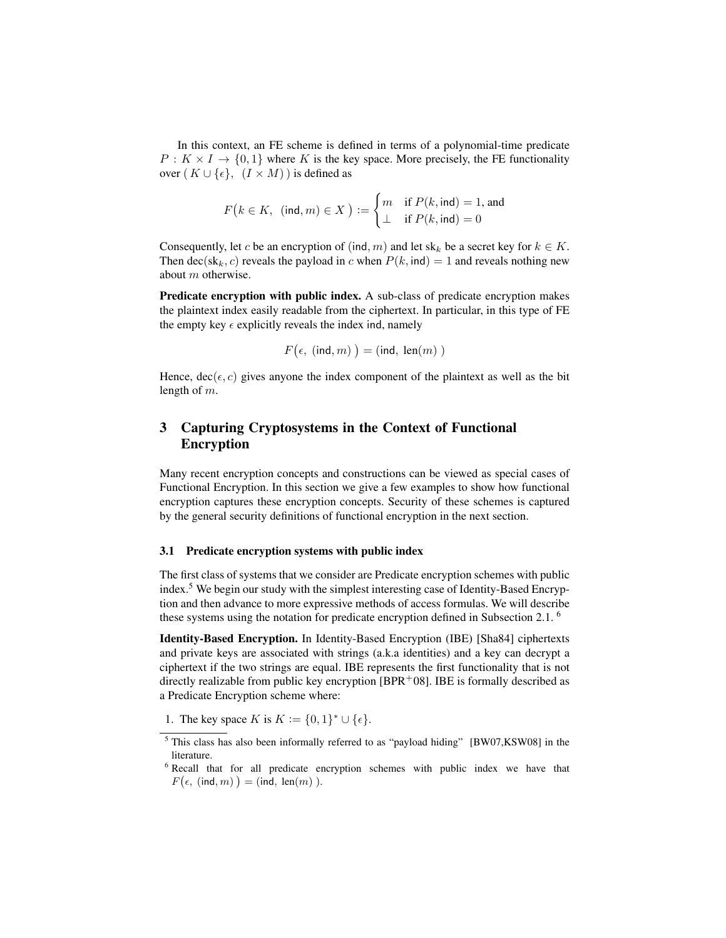In this context, an FE scheme is defined in terms of a polynomial-time predicate  $P: K \times I \rightarrow \{0,1\}$  where K is the key space. More precisely, the FE functionality over  $(K \cup \{\epsilon\}, (I \times M))$  is defined as

$$
F(k \in K, \ (\text{ind}, m) \in X) := \begin{cases} m & \text{if } P(k, \text{ind}) = 1 \text{, and} \\ \perp & \text{if } P(k, \text{ind}) = 0 \end{cases}
$$

Consequently, let c be an encryption of (ind, m) and let sk<sub>k</sub> be a secret key for  $k \in K$ . Then dec(sk<sub>k</sub>, c) reveals the payload in c when  $P(k, \text{ind}) = 1$  and reveals nothing new about m otherwise.

Predicate encryption with public index. A sub-class of predicate encryption makes the plaintext index easily readable from the ciphertext. In particular, in this type of FE the empty key  $\epsilon$  explicitly reveals the index ind, namely

$$
F(\epsilon, (\text{ind}, m)) = (\text{ind}, \text{len}(m))
$$

Hence,  $dec(\epsilon, c)$  gives anyone the index component of the plaintext as well as the bit length of m.

# 3 Capturing Cryptosystems in the Context of Functional Encryption

Many recent encryption concepts and constructions can be viewed as special cases of Functional Encryption. In this section we give a few examples to show how functional encryption captures these encryption concepts. Security of these schemes is captured by the general security definitions of functional encryption in the next section.

#### 3.1 Predicate encryption systems with public index

The first class of systems that we consider are Predicate encryption schemes with public index.<sup>5</sup> We begin our study with the simplest interesting case of Identity-Based Encryption and then advance to more expressive methods of access formulas. We will describe these systems using the notation for predicate encryption defined in Subsection 2.1.<sup>6</sup>

Identity-Based Encryption. In Identity-Based Encryption (IBE) [Sha84] ciphertexts and private keys are associated with strings (a.k.a identities) and a key can decrypt a ciphertext if the two strings are equal. IBE represents the first functionality that is not directly realizable from public key encryption  $IBPR+08$ ]. IBE is formally described as a Predicate Encryption scheme where:

1. The key space K is  $K := \{0, 1\}^* \cup \{\epsilon\}.$ 

<sup>5</sup> This class has also been informally referred to as "payload hiding" [BW07,KSW08] in the literature.

<sup>&</sup>lt;sup>6</sup> Recall that for all predicate encryption schemes with public index we have that  $F(\epsilon, \text{ (ind}, m)) = \text{(ind, len}(m)).$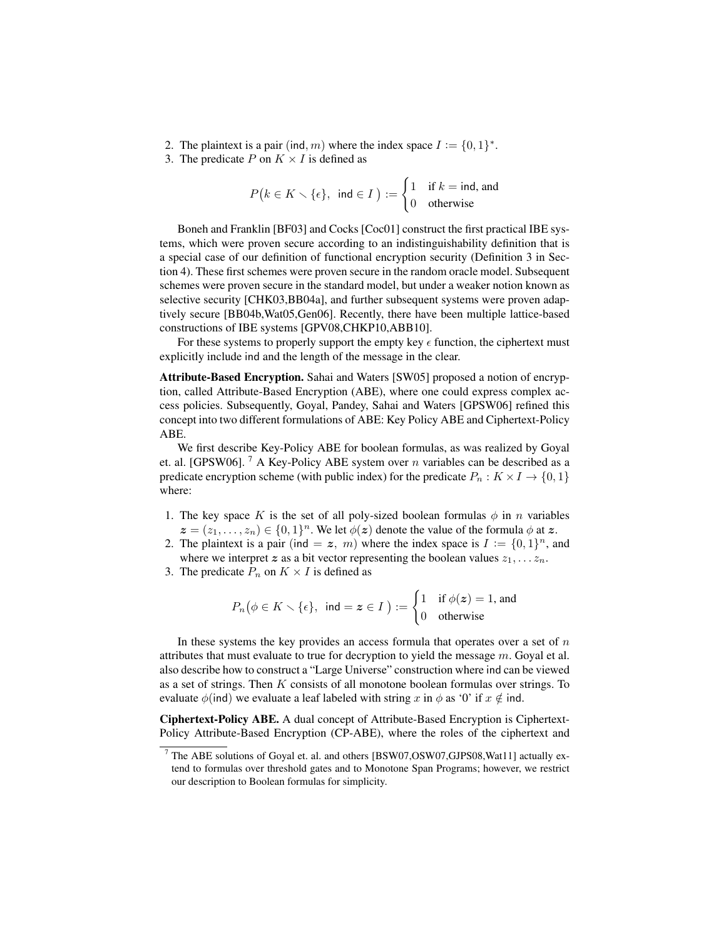- 2. The plaintext is a pair (ind, m) where the index space  $I := \{0, 1\}^*$ .
- 3. The predicate P on  $K \times I$  is defined as

$$
P(k \in K \setminus \{\epsilon\}, \text{ ind } \in I) := \begin{cases} 1 & \text{if } k = \text{ind, and} \\ 0 & \text{otherwise} \end{cases}
$$

Boneh and Franklin [BF03] and Cocks [Coc01] construct the first practical IBE systems, which were proven secure according to an indistinguishability definition that is a special case of our definition of functional encryption security (Definition 3 in Section 4). These first schemes were proven secure in the random oracle model. Subsequent schemes were proven secure in the standard model, but under a weaker notion known as selective security [CHK03,BB04a], and further subsequent systems were proven adaptively secure [BB04b,Wat05,Gen06]. Recently, there have been multiple lattice-based constructions of IBE systems [GPV08,CHKP10,ABB10].

For these systems to properly support the empty key  $\epsilon$  function, the ciphertext must explicitly include ind and the length of the message in the clear.

Attribute-Based Encryption. Sahai and Waters [SW05] proposed a notion of encryption, called Attribute-Based Encryption (ABE), where one could express complex access policies. Subsequently, Goyal, Pandey, Sahai and Waters [GPSW06] refined this concept into two different formulations of ABE: Key Policy ABE and Ciphertext-Policy ABE.

We first describe Key-Policy ABE for boolean formulas, as was realized by Goyal et. al. [GPSW06]. <sup>7</sup> A Key-Policy ABE system over *n* variables can be described as a predicate encryption scheme (with public index) for the predicate  $P_n : K \times I \to \{0, 1\}$ where:

- 1. The key space K is the set of all poly-sized boolean formulas  $\phi$  in n variables  $\boldsymbol{z} = (z_1, \dots, z_n) \in \{0, 1\}^n$ . We let  $\phi(\boldsymbol{z})$  denote the value of the formula  $\phi$  at  $\boldsymbol{z}$ .
- 2. The plaintext is a pair (ind  $= z, m$ ) where the index space is  $I := \{0, 1\}^n$ , and where we interpret z as a bit vector representing the boolean values  $z_1, \ldots z_n$ .
- 3. The predicate  $P_n$  on  $K \times I$  is defined as

$$
P_n(\phi \in K \setminus \{\epsilon\}, \text{ ind } = \boldsymbol{z} \in I) := \begin{cases} 1 & \text{if } \phi(\boldsymbol{z}) = 1 \text{, and} \\ 0 & \text{otherwise} \end{cases}
$$

In these systems the key provides an access formula that operates over a set of  $n$ attributes that must evaluate to true for decryption to yield the message  $m$ . Goyal et al. also describe how to construct a "Large Universe" construction where ind can be viewed as a set of strings. Then  $K$  consists of all monotone boolean formulas over strings. To evaluate  $\phi$ (ind) we evaluate a leaf labeled with string x in  $\phi$  as '0' if  $x \notin \text{ind}$ .

Ciphertext-Policy ABE. A dual concept of Attribute-Based Encryption is Ciphertext-Policy Attribute-Based Encryption (CP-ABE), where the roles of the ciphertext and

<sup>7</sup> The ABE solutions of Goyal et. al. and others [BSW07,OSW07,GJPS08,Wat11] actually extend to formulas over threshold gates and to Monotone Span Programs; however, we restrict our description to Boolean formulas for simplicity.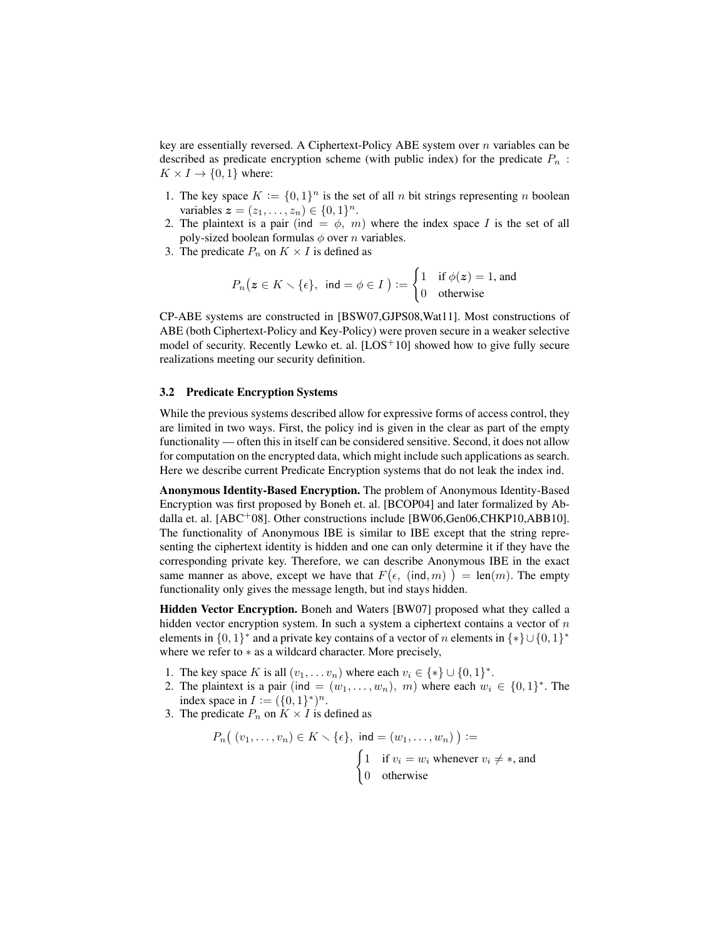key are essentially reversed. A Ciphertext-Policy ABE system over  $n$  variables can be described as predicate encryption scheme (with public index) for the predicate  $P_n$ :  $K \times I \rightarrow \{0, 1\}$  where:

- 1. The key space  $K := \{0,1\}^n$  is the set of all n bit strings representing n boolean variables  $z = (z_1, ..., z_n) \in \{0, 1\}^n$ .
- 2. The plaintext is a pair (ind =  $\phi$ , m) where the index space I is the set of all poly-sized boolean formulas  $\phi$  over *n* variables.
- 3. The predicate  $P_n$  on  $K \times I$  is defined as

$$
P_n(z \in K \setminus \{\epsilon\}, \text{ ind} = \phi \in I) := \begin{cases} 1 & \text{if } \phi(z) = 1 \text{, and} \\ 0 & \text{otherwise} \end{cases}
$$

CP-ABE systems are constructed in [BSW07,GJPS08,Wat11]. Most constructions of ABE (both Ciphertext-Policy and Key-Policy) were proven secure in a weaker selective model of security. Recently Lewko et. al.  $[LOS<sup>+</sup>10]$  showed how to give fully secure realizations meeting our security definition.

### 3.2 Predicate Encryption Systems

While the previous systems described allow for expressive forms of access control, they are limited in two ways. First, the policy ind is given in the clear as part of the empty functionality — often this in itself can be considered sensitive. Second, it does not allow for computation on the encrypted data, which might include such applications as search. Here we describe current Predicate Encryption systems that do not leak the index ind.

Anonymous Identity-Based Encryption. The problem of Anonymous Identity-Based Encryption was first proposed by Boneh et. al. [BCOP04] and later formalized by Abdalla et. al. [ABC+08]. Other constructions include [BW06,Gen06,CHKP10,ABB10]. The functionality of Anonymous IBE is similar to IBE except that the string representing the ciphertext identity is hidden and one can only determine it if they have the corresponding private key. Therefore, we can describe Anonymous IBE in the exact same manner as above, except we have that  $F(\epsilon, \text{ (ind}, m) ) = \text{len}(m)$ . The empty functionality only gives the message length, but ind stays hidden.

Hidden Vector Encryption. Boneh and Waters [BW07] proposed what they called a hidden vector encryption system. In such a system a ciphertext contains a vector of  $n$ elements in  $\{0,1\}^*$  and a private key contains of a vector of n elements in  $\{*\}\cup\{0,1\}^*$ where we refer to ∗ as a wildcard character. More precisely,

- 1. The key space K is all  $(v_1, \ldots v_n)$  where each  $v_i \in \{*\} \cup \{0,1\}^*$ .
- 2. The plaintext is a pair (ind =  $(w_1, \ldots, w_n)$ , m) where each  $w_i \in \{0, 1\}^*$ . The index space in  $I := (\{0, 1\}^*)^n$ .
- 3. The predicate  $P_n$  on  $K \times I$  is defined as

$$
P_n(\ (v_1, \ldots, v_n) \in K \setminus \{\epsilon\}, \text{ ind} = (w_1, \ldots, w_n) \ ) :=
$$
\n
$$
\begin{cases}\n1 & \text{if } v_i = w_i \text{ whenever } v_i \neq *, \text{ and} \\
0 & \text{otherwise}\n\end{cases}
$$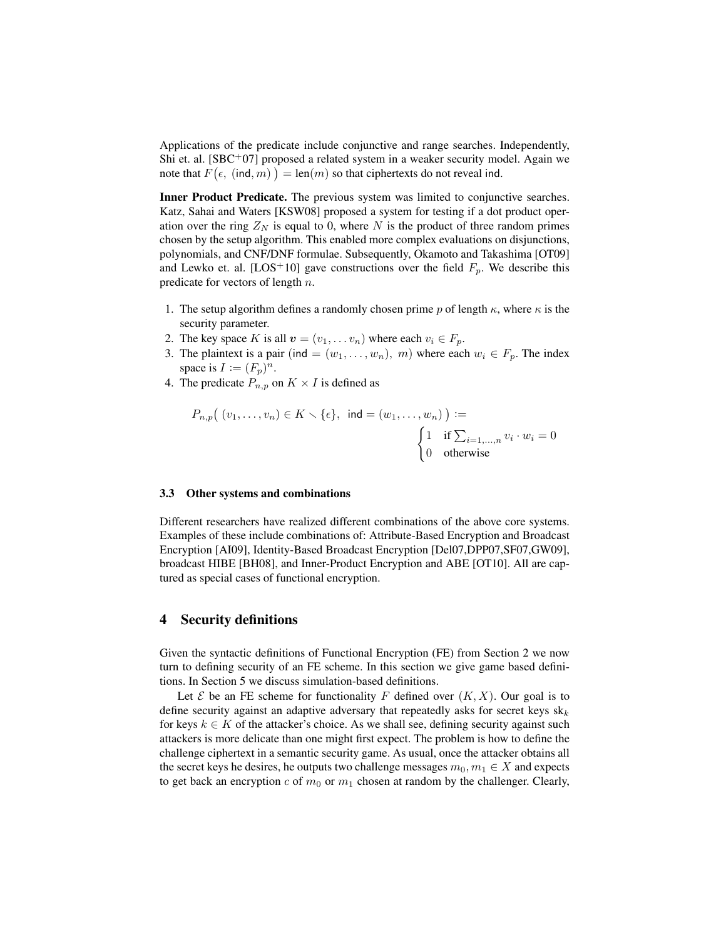Applications of the predicate include conjunctive and range searches. Independently, Shi et. al.  $[SBC<sup>+</sup>07]$  proposed a related system in a weaker security model. Again we note that  $F(\epsilon, \text{ (ind}, m)) = \text{len}(m)$  so that ciphertexts do not reveal ind.

Inner Product Predicate. The previous system was limited to conjunctive searches. Katz, Sahai and Waters [KSW08] proposed a system for testing if a dot product operation over the ring  $Z_N$  is equal to 0, where N is the product of three random primes chosen by the setup algorithm. This enabled more complex evaluations on disjunctions, polynomials, and CNF/DNF formulae. Subsequently, Okamoto and Takashima [OT09] and Lewko et. al. [LOS<sup>+</sup>10] gave constructions over the field  $F_p$ . We describe this predicate for vectors of length n.

- 1. The setup algorithm defines a randomly chosen prime p of length  $\kappa$ , where  $\kappa$  is the security parameter.
- 2. The key space K is all  $\mathbf{v} = (v_1, \dots v_n)$  where each  $v_i \in F_p$ .
- 3. The plaintext is a pair (ind =  $(w_1, \ldots, w_n)$ , m) where each  $w_i \in F_p$ . The index space is  $I := (F_p)^n$ .
- 4. The predicate  $P_{n,p}$  on  $K \times I$  is defined as

$$
P_{n,p}((v_1,\ldots,v_n)\in K\smallsetminus\{\epsilon\},\ \text{ind}=(w_1,\ldots,w_n)\ ):=\begin{cases}1&\text{if }\sum_{i=1,\ldots,n}v_i\cdot w_i=0\\0&\text{otherwise}\end{cases}
$$

### 3.3 Other systems and combinations

Different researchers have realized different combinations of the above core systems. Examples of these include combinations of: Attribute-Based Encryption and Broadcast Encryption [AI09], Identity-Based Broadcast Encryption [Del07,DPP07,SF07,GW09], broadcast HIBE [BH08], and Inner-Product Encryption and ABE [OT10]. All are captured as special cases of functional encryption.

### 4 Security definitions

Given the syntactic definitions of Functional Encryption (FE) from Section 2 we now turn to defining security of an FE scheme. In this section we give game based definitions. In Section 5 we discuss simulation-based definitions.

Let  $\mathcal E$  be an FE scheme for functionality F defined over  $(K, X)$ . Our goal is to define security against an adaptive adversary that repeatedly asks for secret keys  $sk_k$ for keys  $k \in K$  of the attacker's choice. As we shall see, defining security against such attackers is more delicate than one might first expect. The problem is how to define the challenge ciphertext in a semantic security game. As usual, once the attacker obtains all the secret keys he desires, he outputs two challenge messages  $m_0, m_1 \in X$  and expects to get back an encryption c of  $m_0$  or  $m_1$  chosen at random by the challenger. Clearly,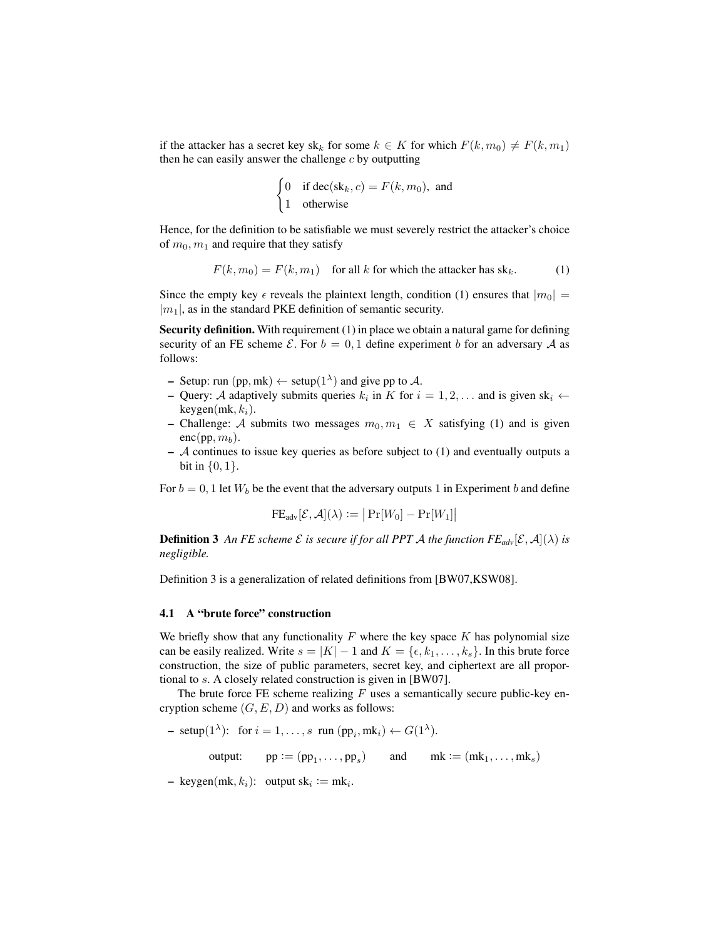if the attacker has a secret key sk<sub>k</sub> for some  $k \in K$  for which  $F(k, m_0) \neq F(k, m_1)$ then he can easily answer the challenge  $c$  by outputting

$$
\begin{cases}\n0 & \text{if } \text{dec}(\text{sk}_k, c) = F(k, m_0), \text{ and} \\
1 & \text{otherwise}\n\end{cases}
$$

Hence, for the definition to be satisfiable we must severely restrict the attacker's choice of  $m_0, m_1$  and require that they satisfy

$$
F(k, m_0) = F(k, m_1) \quad \text{for all } k \text{ for which the attacker has skk.} \tag{1}
$$

Since the empty key  $\epsilon$  reveals the plaintext length, condition (1) ensures that  $|m_0| =$  $|m_1|$ , as in the standard PKE definition of semantic security.

Security definition. With requirement (1) in place we obtain a natural game for defining security of an FE scheme  $\mathcal{E}$ . For  $b = 0, 1$  define experiment b for an adversary A as follows:

- **−** Setup: run (pp, mk)  $\leftarrow$  setup(1<sup> $\lambda$ </sup>) and give pp to  $\mathcal{A}$ .
- Query: A adaptively submits queries  $k_i$  in K for  $i = 1, 2, \ldots$  and is given sk<sub>i</sub>  $\leftarrow$ keygen(mk,  $k_i$ ).
- Challenge: A submits two messages  $m_0, m_1 \in X$  satisfying (1) and is given  $enc(pp, m<sub>b</sub>)$ .
- $-$  A continues to issue key queries as before subject to (1) and eventually outputs a bit in  $\{0, 1\}$ .

For  $b = 0, 1$  let  $W_b$  be the event that the adversary outputs 1 in Experiment b and define

$$
\mathrm{FE}_{\mathrm{adv}}[\mathcal{E}, \mathcal{A}](\lambda) := \big| \Pr[W_0] - \Pr[W_1] \big|
$$

**Definition 3** An FE scheme  $\mathcal E$  is secure if for all PPT A the function  $FE_{adv}[\mathcal E, \mathcal A](\lambda)$  is *negligible.*

Definition 3 is a generalization of related definitions from [BW07,KSW08].

### 4.1 A "brute force" construction

We briefly show that any functionality  $F$  where the key space  $K$  has polynomial size can be easily realized. Write  $s = |K| - 1$  and  $K = \{\epsilon, k_1, \ldots, k_s\}$ . In this brute force construction, the size of public parameters, secret key, and ciphertext are all proportional to s. A closely related construction is given in [BW07].

The brute force FE scheme realizing  $F$  uses a semantically secure public-key encryption scheme  $(G, E, D)$  and works as follows:

 $\text{setup}(1^{\lambda})$ : for  $i = 1, ..., s$  run  $(pp_i, mk_i) \leftarrow G(1^{\lambda})$ .

output:  $pp := (pp_1, \ldots, pp_s)$  and  $mk := (mk_1, \ldots, mk_s)$ 

 $-$  keygen(mk,  $k_i$ ): output sk<sub>i</sub> := mk<sub>i</sub>.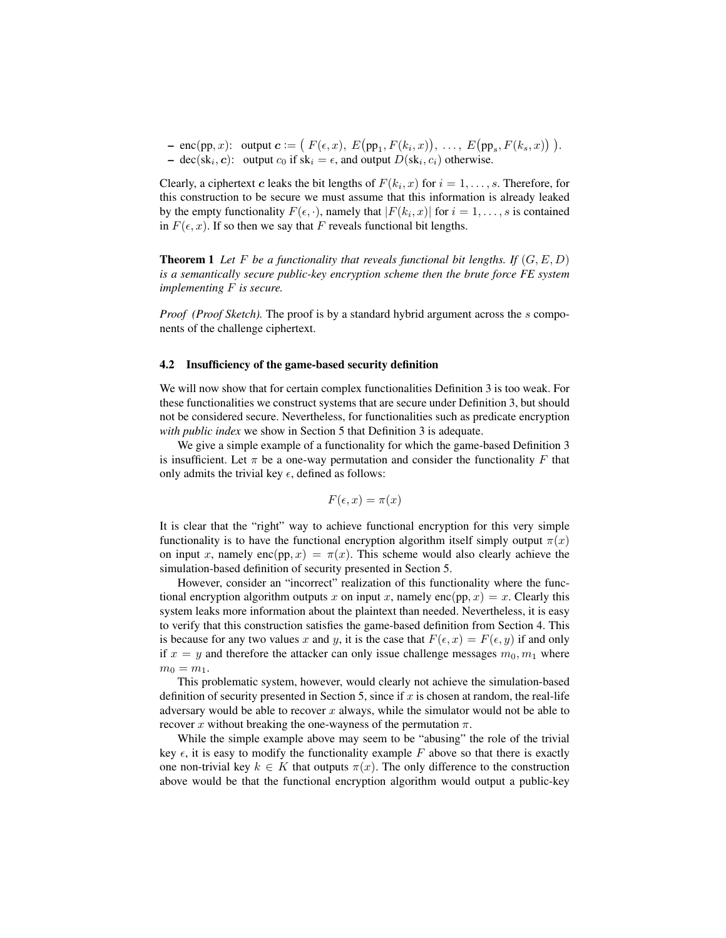$-$  enc(pp, x): output  $c := (F(\epsilon, x), E(pp_1, F(k_i, x)), \ldots, E(pp_s, F(k_s, x))).$  $-\text{dec}(sk_i, c)$ : output  $c_0$  if  $sk_i = \epsilon$ , and output  $D(sk_i, c_i)$  otherwise.

Clearly, a ciphertext c leaks the bit lengths of  $F(k_i, x)$  for  $i = 1, \ldots, s$ . Therefore, for this construction to be secure we must assume that this information is already leaked by the empty functionality  $F(\epsilon, \cdot)$ , namely that  $|F(k_i, x)|$  for  $i = 1, \ldots, s$  is contained in  $F(\epsilon, x)$ . If so then we say that F reveals functional bit lengths.

**Theorem 1** Let  $F$  be a functionality that reveals functional bit lengths. If  $(G, E, D)$ *is a semantically secure public-key encryption scheme then the brute force FE system implementing* F *is secure.*

*Proof (Proof Sketch)*. The proof is by a standard hybrid argument across the s components of the challenge ciphertext.

### 4.2 Insufficiency of the game-based security definition

We will now show that for certain complex functionalities Definition 3 is too weak. For these functionalities we construct systems that are secure under Definition 3, but should not be considered secure. Nevertheless, for functionalities such as predicate encryption *with public index* we show in Section 5 that Definition 3 is adequate.

We give a simple example of a functionality for which the game-based Definition 3 is insufficient. Let  $\pi$  be a one-way permutation and consider the functionality F that only admits the trivial key  $\epsilon$ , defined as follows:

$$
F(\epsilon, x) = \pi(x)
$$

It is clear that the "right" way to achieve functional encryption for this very simple functionality is to have the functional encryption algorithm itself simply output  $\pi(x)$ on input x, namely enc(pp, x) =  $\pi(x)$ . This scheme would also clearly achieve the simulation-based definition of security presented in Section 5.

However, consider an "incorrect" realization of this functionality where the functional encryption algorithm outputs x on input x, namely enc(pp, x) = x. Clearly this system leaks more information about the plaintext than needed. Nevertheless, it is easy to verify that this construction satisfies the game-based definition from Section 4. This is because for any two values x and y, it is the case that  $F(\epsilon, x) = F(\epsilon, y)$  if and only if  $x = y$  and therefore the attacker can only issue challenge messages  $m_0, m_1$  where  $m_0 = m_1$ .

This problematic system, however, would clearly not achieve the simulation-based definition of security presented in Section 5, since if  $x$  is chosen at random, the real-life adversary would be able to recover  $x$  always, while the simulator would not be able to recover x without breaking the one-wayness of the permutation  $\pi$ .

While the simple example above may seem to be "abusing" the role of the trivial key  $\epsilon$ , it is easy to modify the functionality example F above so that there is exactly one non-trivial key  $k \in K$  that outputs  $\pi(x)$ . The only difference to the construction above would be that the functional encryption algorithm would output a public-key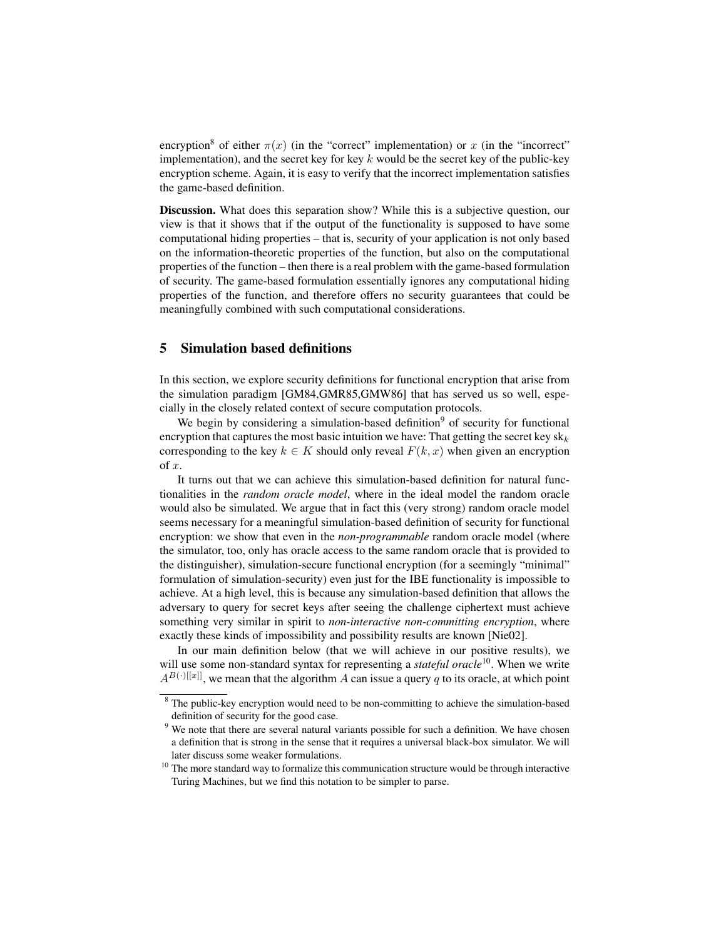encryption<sup>8</sup> of either  $\pi(x)$  (in the "correct" implementation) or x (in the "incorrect" implementation), and the secret key for key  $k$  would be the secret key of the public-key encryption scheme. Again, it is easy to verify that the incorrect implementation satisfies the game-based definition.

Discussion. What does this separation show? While this is a subjective question, our view is that it shows that if the output of the functionality is supposed to have some computational hiding properties – that is, security of your application is not only based on the information-theoretic properties of the function, but also on the computational properties of the function – then there is a real problem with the game-based formulation of security. The game-based formulation essentially ignores any computational hiding properties of the function, and therefore offers no security guarantees that could be meaningfully combined with such computational considerations.

### 5 Simulation based definitions

In this section, we explore security definitions for functional encryption that arise from the simulation paradigm [GM84,GMR85,GMW86] that has served us so well, especially in the closely related context of secure computation protocols.

We begin by considering a simulation-based definition<sup>9</sup> of security for functional encryption that captures the most basic intuition we have: That getting the secret key  $sk_k$ corresponding to the key  $k \in K$  should only reveal  $F(k, x)$  when given an encryption of  $x$ .

It turns out that we can achieve this simulation-based definition for natural functionalities in the *random oracle model*, where in the ideal model the random oracle would also be simulated. We argue that in fact this (very strong) random oracle model seems necessary for a meaningful simulation-based definition of security for functional encryption: we show that even in the *non-programmable* random oracle model (where the simulator, too, only has oracle access to the same random oracle that is provided to the distinguisher), simulation-secure functional encryption (for a seemingly "minimal" formulation of simulation-security) even just for the IBE functionality is impossible to achieve. At a high level, this is because any simulation-based definition that allows the adversary to query for secret keys after seeing the challenge ciphertext must achieve something very similar in spirit to *non-interactive non-committing encryption*, where exactly these kinds of impossibility and possibility results are known [Nie02].

In our main definition below (that we will achieve in our positive results), we will use some non-standard syntax for representing a *stateful oracle*<sup>10</sup>. When we write  $A^{B(\cdot)[[x]]}$ , we mean that the algorithm A can issue a query q to its oracle, at which point

<sup>&</sup>lt;sup>8</sup> The public-key encryption would need to be non-committing to achieve the simulation-based definition of security for the good case.

<sup>&</sup>lt;sup>9</sup> We note that there are several natural variants possible for such a definition. We have chosen a definition that is strong in the sense that it requires a universal black-box simulator. We will later discuss some weaker formulations.

 $10$  The more standard way to formalize this communication structure would be through interactive Turing Machines, but we find this notation to be simpler to parse.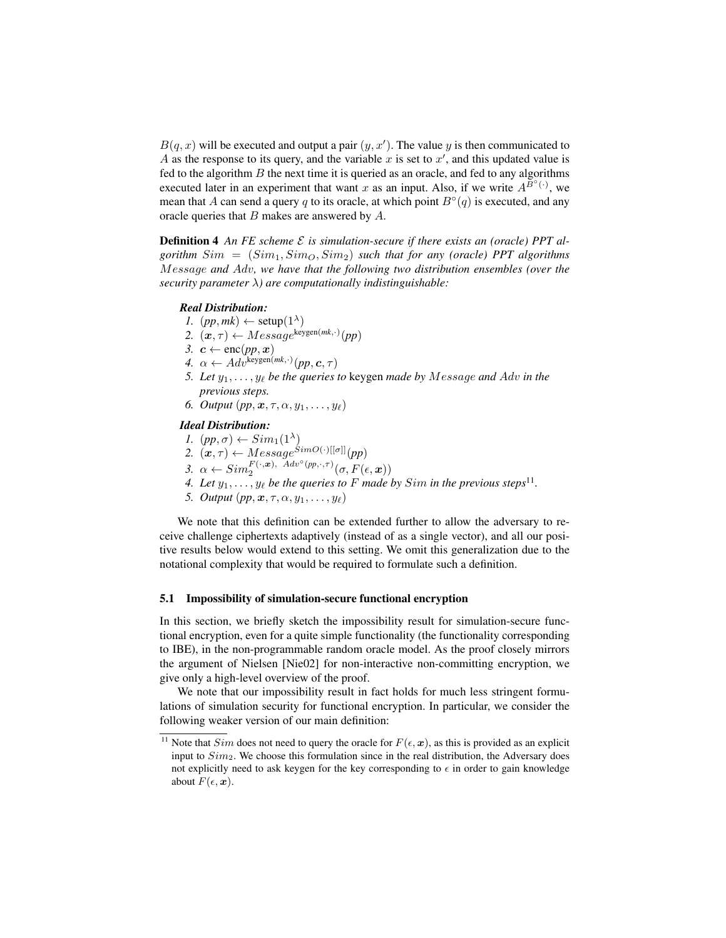$B(q, x)$  will be executed and output a pair  $(y, x')$ . The value y is then communicated to A as the response to its query, and the variable  $x$  is set to  $x'$ , and this updated value is fed to the algorithm  $B$  the next time it is queried as an oracle, and fed to any algorithms executed later in an experiment that want x as an input. Also, if we write  $A^{\overline{B}^{\circ}(\cdot)}$ , we mean that A can send a query q to its oracle, at which point  $B<sup>°</sup>(q)$  is executed, and any oracle queries that B makes are answered by A.

**Definition 4** An FE scheme  $\mathcal E$  is simulation-secure if there exists an (oracle) PPT al*gorithm*  $Sim = (Sim_1, Sim_0, Sim_2)$  *such that for any (oracle) PPT algorithms* Message *and* Adv*, we have that the following two distribution ensembles (over the security parameter* λ*) are computationally indistinguishable:*

#### *Real Distribution:*

- *1.*  $(pp,mk) \leftarrow \text{setup}(1^{\lambda})$
- 2.  $(\boldsymbol{x}, \tau) \leftarrow Message^{keygen(mk, \cdot)}(pp)$
- *3.*  $c \leftarrow \text{enc}(pp, x)$
- *4.*  $\alpha \leftarrow Adv^{\text{keygen}(mk,\cdot)}(pp, \mathbf{c}, \tau)$
- 5. Let  $y_1, \ldots, y_\ell$  be the queries to keygen *made* by Message and Adv in the *previous steps.*
- *6. Output*  $(pp, x, \tau, \alpha, y_1, \ldots, y_\ell)$

#### *Ideal Distribution:*

- *1.*  $(pp, \sigma) \leftarrow Sim_1(1^{\lambda})$
- 2.  $(\boldsymbol{x}, \tau) \leftarrow Message^{SimO(\cdot)[[\sigma]]}(pp)$
- 3.  $\alpha \leftarrow Sim_2^{F(\cdot, \boldsymbol{x})}, \overline{A}^{dv^{\circ}(pp, \cdot, \tau)}(\sigma, \overline{F(\epsilon, \boldsymbol{x})})$
- 4. Let  $y_1, \ldots, y_\ell$  be the queries to F made by Sim in the previous steps<sup>11</sup>.
- *5. Output*  $(pp, x, \tau, \alpha, y_1, \ldots, y_\ell)$

We note that this definition can be extended further to allow the adversary to receive challenge ciphertexts adaptively (instead of as a single vector), and all our positive results below would extend to this setting. We omit this generalization due to the notational complexity that would be required to formulate such a definition.

### 5.1 Impossibility of simulation-secure functional encryption

In this section, we briefly sketch the impossibility result for simulation-secure functional encryption, even for a quite simple functionality (the functionality corresponding to IBE), in the non-programmable random oracle model. As the proof closely mirrors the argument of Nielsen [Nie02] for non-interactive non-committing encryption, we give only a high-level overview of the proof.

We note that our impossibility result in fact holds for much less stringent formulations of simulation security for functional encryption. In particular, we consider the following weaker version of our main definition:

<sup>&</sup>lt;sup>11</sup> Note that Sim does not need to query the oracle for  $F(\epsilon, x)$ , as this is provided as an explicit input to  $Sim_2$ . We choose this formulation since in the real distribution, the Adversary does not explicitly need to ask keygen for the key corresponding to  $\epsilon$  in order to gain knowledge about  $F(\epsilon, \mathbf{x})$ .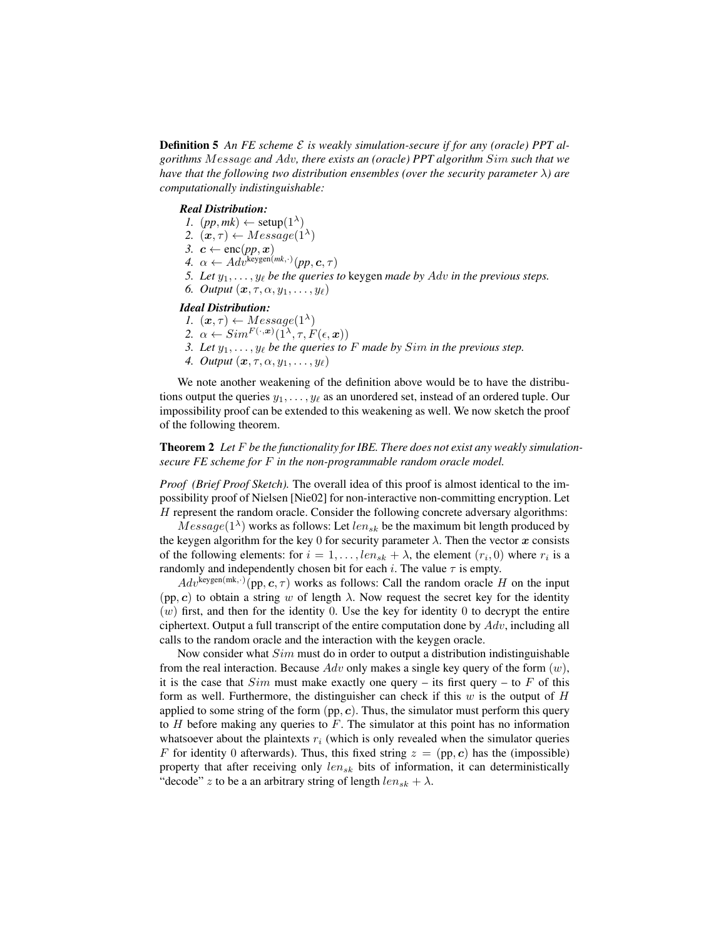Definition 5 *An FE scheme* E *is weakly simulation-secure if for any (oracle) PPT algorithms* Message *and* Adv*, there exists an (oracle) PPT algorithm* Sim *such that we have that the following two distribution ensembles (over the security parameter* λ*) are computationally indistinguishable:*

### *Real Distribution:*

- *1.*  $(pp,mk) \leftarrow \text{setup}(1^{\lambda})$
- 2.  $(\boldsymbol{x}, \tau) \leftarrow Message(1^{\lambda})$
- *3.*  $c \leftarrow \text{enc}(pp, x)$
- *4.*  $\alpha \leftarrow Adv^{\text{keygen}(mk,\cdot)}(pp, \mathbf{c}, \tau)$
- *5. Let*  $y_1, \ldots, y_\ell$  *be the queries to keygen made by Adv in the previous steps.*
- *6. Output*  $(x, \tau, \alpha, y_1, \ldots, y_\ell)$

#### *Ideal Distribution:*

- *1.*  $(\mathbf{x}, \tau) \leftarrow Message(1^{\lambda})$
- 2.  $\alpha \leftarrow Sim^{F(\cdot, \mathbf{x})}(1^{\lambda}, \tau, F(\epsilon, \mathbf{x}))$
- *3. Let*  $y_1, \ldots, y_\ell$  *be the queries to* F *made by* Sim *in the previous step.*
- *4. Output*  $(x, \tau, \alpha, y_1, \ldots, y_\ell)$

We note another weakening of the definition above would be to have the distributions output the queries  $y_1, \ldots, y_\ell$  as an unordered set, instead of an ordered tuple. Our impossibility proof can be extended to this weakening as well. We now sketch the proof of the following theorem.

Theorem 2 *Let* F *be the functionality for IBE. There does not exist any weakly simulationsecure FE scheme for* F *in the non-programmable random oracle model.*

*Proof (Brief Proof Sketch).* The overall idea of this proof is almost identical to the impossibility proof of Nielsen [Nie02] for non-interactive non-committing encryption. Let H represent the random oracle. Consider the following concrete adversary algorithms:

 $Message(1^{\lambda})$  works as follows: Let  $len_{sk}$  be the maximum bit length produced by the keygen algorithm for the key 0 for security parameter  $\lambda$ . Then the vector x consists of the following elements: for  $i = 1, \ldots, len_{sk} + \lambda$ , the element  $(r_i, 0)$  where  $r_i$  is a randomly and independently chosen bit for each i. The value  $\tau$  is empty.

 $Adv^{\text{keygen(mk},.)}(pp, c, \tau)$  works as follows: Call the random oracle H on the input (pp, c) to obtain a string w of length  $\lambda$ . Now request the secret key for the identity  $(w)$  first, and then for the identity 0. Use the key for identity 0 to decrypt the entire ciphertext. Output a full transcript of the entire computation done by  $Adv$ , including all calls to the random oracle and the interaction with the keygen oracle.

Now consider what Sim must do in order to output a distribution indistinguishable from the real interaction. Because  $Adv$  only makes a single key query of the form  $(w)$ , it is the case that  $Sim$  must make exactly one query – its first query – to  $F$  of this form as well. Furthermore, the distinguisher can check if this  $w$  is the output of  $H$ applied to some string of the form  $(pp, c)$ . Thus, the simulator must perform this query to  $H$  before making any queries to  $F$ . The simulator at this point has no information whatsoever about the plaintexts  $r_i$  (which is only revealed when the simulator queries F for identity 0 afterwards). Thus, this fixed string  $z = (pp, c)$  has the (impossible) property that after receiving only  $len_{sk}$  bits of information, it can deterministically "decode" z to be a an arbitrary string of length  $len_{sk} + \lambda$ .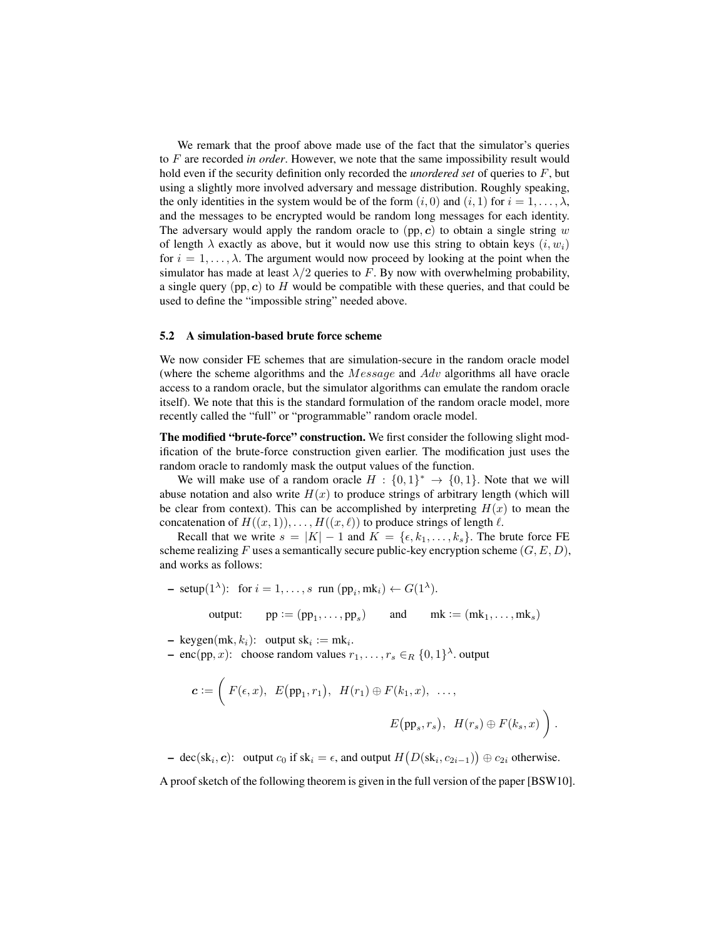We remark that the proof above made use of the fact that the simulator's queries to F are recorded *in order*. However, we note that the same impossibility result would hold even if the security definition only recorded the *unordered set* of queries to F, but using a slightly more involved adversary and message distribution. Roughly speaking, the only identities in the system would be of the form  $(i, 0)$  and  $(i, 1)$  for  $i = 1, \ldots, \lambda$ , and the messages to be encrypted would be random long messages for each identity. The adversary would apply the random oracle to  $(pp, c)$  to obtain a single string w of length  $\lambda$  exactly as above, but it would now use this string to obtain keys  $(i, w_i)$ for  $i = 1, \ldots, \lambda$ . The argument would now proceed by looking at the point when the simulator has made at least  $\lambda/2$  queries to F. By now with overwhelming probability, a single query  $(pp, c)$  to H would be compatible with these queries, and that could be used to define the "impossible string" needed above.

#### 5.2 A simulation-based brute force scheme

We now consider FE schemes that are simulation-secure in the random oracle model (where the scheme algorithms and the  $Message$  and  $Adv$  algorithms all have oracle access to a random oracle, but the simulator algorithms can emulate the random oracle itself). We note that this is the standard formulation of the random oracle model, more recently called the "full" or "programmable" random oracle model.

The modified "brute-force" construction. We first consider the following slight modification of the brute-force construction given earlier. The modification just uses the random oracle to randomly mask the output values of the function.

We will make use of a random oracle  $H : \{0,1\}^* \to \{0,1\}$ . Note that we will abuse notation and also write  $H(x)$  to produce strings of arbitrary length (which will be clear from context). This can be accomplished by interpreting  $H(x)$  to mean the concatenation of  $H((x, 1)), \ldots, H((x, \ell))$  to produce strings of length  $\ell$ .

Recall that we write  $s = |K| - 1$  and  $K = \{\epsilon, k_1, \ldots, k_s\}$ . The brute force FE scheme realizing F uses a semantically secure public-key encryption scheme  $(G, E, D)$ , and works as follows:

 $\text{setup}(1^{\lambda})$ : for  $i = 1, ..., s$  run  $(pp_i, mk_i) \leftarrow G(1^{\lambda})$ .

output:  $pp := (pp_1, \ldots, pp_s)$  and  $mk := (mk_1, \ldots, mk_s)$ 

- $-$  keygen(mk,  $k_i$ ): output sk<sub>i</sub> := mk<sub>i</sub>.
- enc(pp, x): choose random values  $r_1, \ldots, r_s \in_R \{0, 1\}^{\lambda}$ . output

$$
\mathbf{c} := \left( F(\epsilon, x), E(p p_1, r_1), H(r_1) \oplus F(k_1, x), \dots, \right)
$$

$$
E(p p_s, r_s), H(r_s) \oplus F(k_s, x) \right).
$$

− dec(sk<sub>i</sub>, c): output  $c_0$  if sk<sub>i</sub> =  $\epsilon$ , and output  $H(D(\text{sk}_i, c_{2i-1})) \oplus c_{2i}$  otherwise.

A proof sketch of the following theorem is given in the full version of the paper [BSW10].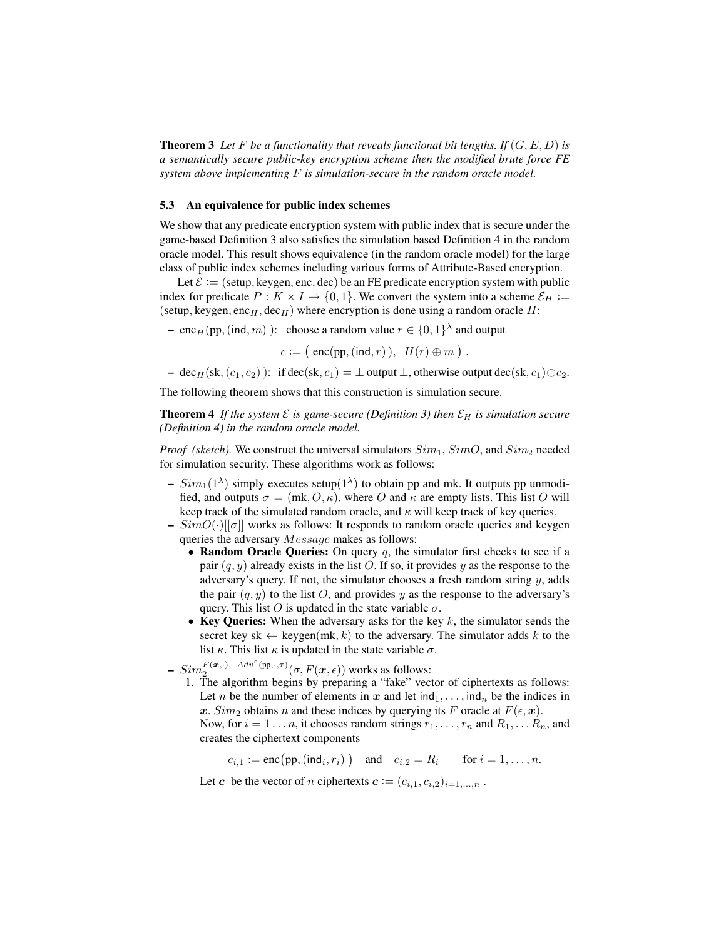**Theorem 3** Let F be a functionality that reveals functional bit lengths. If  $(G, E, D)$  is *a semantically secure public-key encryption scheme then the modified brute force FE system above implementing* F *is simulation-secure in the random oracle model.*

#### 5.3 An equivalence for public index schemes

We show that any predicate encryption system with public index that is secure under the game-based Definition 3 also satisfies the simulation based Definition 4 in the random oracle model. This result shows equivalence (in the random oracle model) for the large class of public index schemes including various forms of Attribute-Based encryption.

Let  $\mathcal{E} :=$  (setup, keygen, enc, dec) be an FE predicate encryption system with public index for predicate  $P: K \times I \rightarrow \{0,1\}$ . We convert the system into a scheme  $\mathcal{E}_H :=$ (setup, keygen, enc<sub>H</sub>, dec<sub>H</sub>) where encryption is done using a random oracle H:

 $\texttt{-}$  enc<sub>H</sub>(pp, (ind, m)): choose a random value  $r \in \{0,1\}^{\lambda}$  and output

 $c := (\text{enc}(pp, (\text{ind}, r)), H(r) \oplus m).$ 

– dec<sub>H</sub>(sk,(c<sub>1</sub>, c<sub>2</sub>)): if dec(sk, c<sub>1</sub>) = ⊥ output ⊥, otherwise output dec(sk, c<sub>1</sub>)⊕c<sub>2</sub>.

The following theorem shows that this construction is simulation secure.

**Theorem 4** If the system  $\mathcal E$  is game-secure (Definition 3) then  $\mathcal E_H$  is simulation secure *(Definition 4) in the random oracle model.*

*Proof (sketch).* We construct the universal simulators  $Sim_1$ ,  $SimO$ , and  $Sim_2$  needed for simulation security. These algorithms work as follows:

- $Sim_1(1^{\lambda})$  simply executes setup $(1^{\lambda})$  to obtain pp and mk. It outputs pp unmodified, and outputs  $\sigma = (\text{mk}, O, \kappa)$ , where O and  $\kappa$  are empty lists. This list O will keep track of the simulated random oracle, and  $\kappa$  will keep track of key queries.
- $SimO(\cdot)[\sigma]]$  works as follows: It responds to random oracle queries and keygen queries the adversary Message makes as follows:
	- Random Oracle Queries: On query  $q$ , the simulator first checks to see if a pair  $(q, y)$  already exists in the list O. If so, it provides y as the response to the adversary's query. If not, the simulator chooses a fresh random string  $y$ , adds the pair  $(q, y)$  to the list O, and provides y as the response to the adversary's query. This list O is updated in the state variable  $\sigma$ .
	- Key Queries: When the adversary asks for the key  $k$ , the simulator sends the secret key sk  $\leftarrow$  keygen(mk, k) to the adversary. The simulator adds k to the list  $\kappa$ . This list  $\kappa$  is updated in the state variable  $\sigma$ .
- $Sim_2^{F(\mathbf{x},\cdot),\;Adv^{\circ}(pp,\cdot,\tau)}(\sigma,F(\mathbf{x},\epsilon))$  works as follows:
	- 1. The algorithm begins by preparing a "fake" vector of ciphertexts as follows: Let n be the number of elements in x and let  $ind_1, \ldots, ind_n$  be the indices in x.  $Sim_2$  obtains n and these indices by querying its F oracle at  $F(\epsilon, x)$ . Now, for  $i = 1 \ldots n$ , it chooses random strings  $r_1, \ldots, r_n$  and  $R_1, \ldots R_n$ , and creates the ciphertext components

 $c_{i,1} := \text{enc}(\text{pp}, (\text{ind}_i, r_i))$  and  $c_{i,2} = R_i$  for  $i = 1, \dots, n$ .

Let c be the vector of n ciphertexts  $c := (c_{i,1}, c_{i,2})_{i=1,...,n}$ .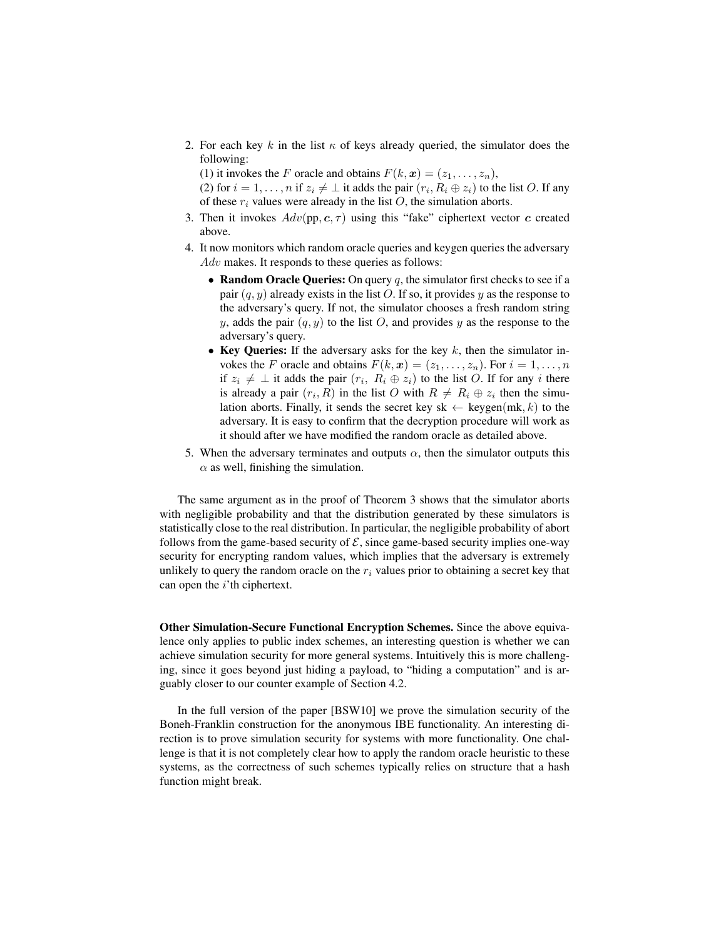2. For each key k in the list  $\kappa$  of keys already queried, the simulator does the following:

(1) it invokes the F oracle and obtains  $F(k, x) = (z_1, \ldots, z_n)$ ,

(2) for  $i = 1, ..., n$  if  $z_i \neq \perp$  it adds the pair  $(r_i, R_i \oplus z_i)$  to the list O. If any of these  $r_i$  values were already in the list  $O$ , the simulation aborts.

- 3. Then it invokes  $Adv(pp, c, \tau)$  using this "fake" ciphertext vector c created above.
- 4. It now monitors which random oracle queries and keygen queries the adversary Adv makes. It responds to these queries as follows:
	- Random Oracle Queries: On query  $q$ , the simulator first checks to see if a pair  $(q, y)$  already exists in the list O. If so, it provides y as the response to the adversary's query. If not, the simulator chooses a fresh random string y, adds the pair  $(q, y)$  to the list O, and provides y as the response to the adversary's query.
	- Key Queries: If the adversary asks for the key  $k$ , then the simulator invokes the F oracle and obtains  $F(k, x) = (z_1, \ldots, z_n)$ . For  $i = 1, \ldots, n$ if  $z_i \neq \perp$  it adds the pair  $(r_i, R_i \oplus z_i)$  to the list O. If for any i there is already a pair  $(r_i, R)$  in the list O with  $R \neq R_i \oplus z_i$  then the simulation aborts. Finally, it sends the secret key sk  $\leftarrow$  keygen(mk, k) to the adversary. It is easy to confirm that the decryption procedure will work as it should after we have modified the random oracle as detailed above.
- 5. When the adversary terminates and outputs  $\alpha$ , then the simulator outputs this  $\alpha$  as well, finishing the simulation.

The same argument as in the proof of Theorem 3 shows that the simulator aborts with negligible probability and that the distribution generated by these simulators is statistically close to the real distribution. In particular, the negligible probability of abort follows from the game-based security of  $\mathcal{E}$ , since game-based security implies one-way security for encrypting random values, which implies that the adversary is extremely unlikely to query the random oracle on the  $r_i$  values prior to obtaining a secret key that can open the *i*'th ciphertext.

Other Simulation-Secure Functional Encryption Schemes. Since the above equivalence only applies to public index schemes, an interesting question is whether we can achieve simulation security for more general systems. Intuitively this is more challenging, since it goes beyond just hiding a payload, to "hiding a computation" and is arguably closer to our counter example of Section 4.2.

In the full version of the paper [BSW10] we prove the simulation security of the Boneh-Franklin construction for the anonymous IBE functionality. An interesting direction is to prove simulation security for systems with more functionality. One challenge is that it is not completely clear how to apply the random oracle heuristic to these systems, as the correctness of such schemes typically relies on structure that a hash function might break.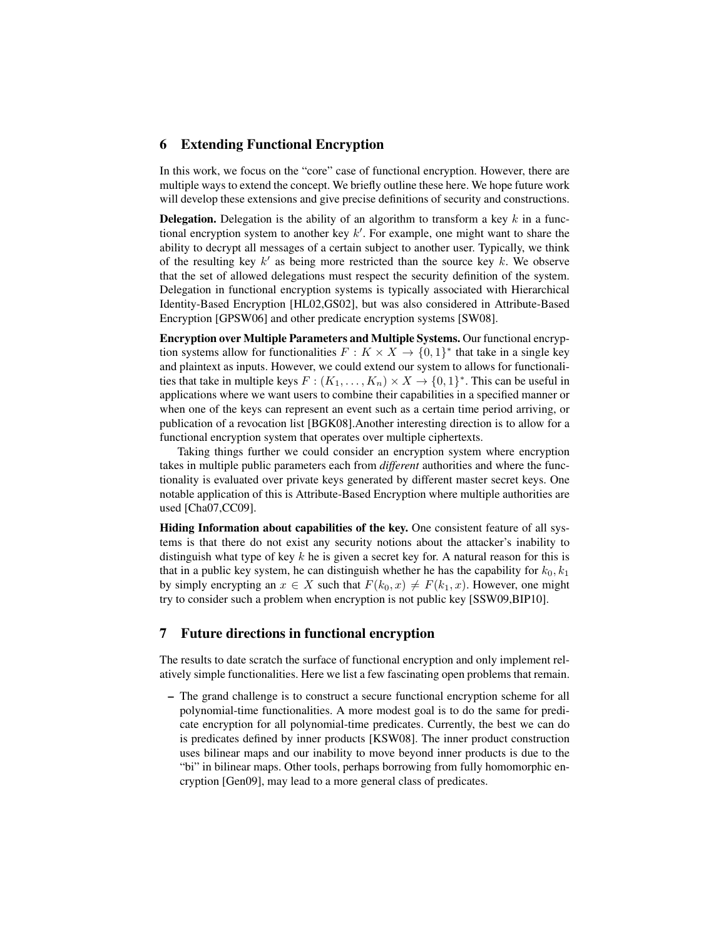### 6 Extending Functional Encryption

In this work, we focus on the "core" case of functional encryption. However, there are multiple ways to extend the concept. We briefly outline these here. We hope future work will develop these extensions and give precise definitions of security and constructions.

**Delegation.** Delegation is the ability of an algorithm to transform a key  $k$  in a functional encryption system to another key  $k'$ . For example, one might want to share the ability to decrypt all messages of a certain subject to another user. Typically, we think of the resulting key  $k'$  as being more restricted than the source key  $k$ . We observe that the set of allowed delegations must respect the security definition of the system. Delegation in functional encryption systems is typically associated with Hierarchical Identity-Based Encryption [HL02,GS02], but was also considered in Attribute-Based Encryption [GPSW06] and other predicate encryption systems [SW08].

Encryption over Multiple Parameters and Multiple Systems. Our functional encryption systems allow for functionalities  $F: K \times X \to \{0,1\}^*$  that take in a single key and plaintext as inputs. However, we could extend our system to allows for functionalities that take in multiple keys  $F: (K_1, \ldots, K_n) \times X \to \{0,1\}^*$ . This can be useful in applications where we want users to combine their capabilities in a specified manner or when one of the keys can represent an event such as a certain time period arriving, or publication of a revocation list [BGK08].Another interesting direction is to allow for a functional encryption system that operates over multiple ciphertexts.

Taking things further we could consider an encryption system where encryption takes in multiple public parameters each from *different* authorities and where the functionality is evaluated over private keys generated by different master secret keys. One notable application of this is Attribute-Based Encryption where multiple authorities are used [Cha07,CC09].

Hiding Information about capabilities of the key. One consistent feature of all systems is that there do not exist any security notions about the attacker's inability to distinguish what type of key k he is given a secret key for. A natural reason for this is that in a public key system, he can distinguish whether he has the capability for  $k_0, k_1$ by simply encrypting an  $x \in X$  such that  $F(k_0, x) \neq F(k_1, x)$ . However, one might try to consider such a problem when encryption is not public key [SSW09,BIP10].

### 7 Future directions in functional encryption

The results to date scratch the surface of functional encryption and only implement relatively simple functionalities. Here we list a few fascinating open problems that remain.

– The grand challenge is to construct a secure functional encryption scheme for all polynomial-time functionalities. A more modest goal is to do the same for predicate encryption for all polynomial-time predicates. Currently, the best we can do is predicates defined by inner products [KSW08]. The inner product construction uses bilinear maps and our inability to move beyond inner products is due to the "bi" in bilinear maps. Other tools, perhaps borrowing from fully homomorphic encryption [Gen09], may lead to a more general class of predicates.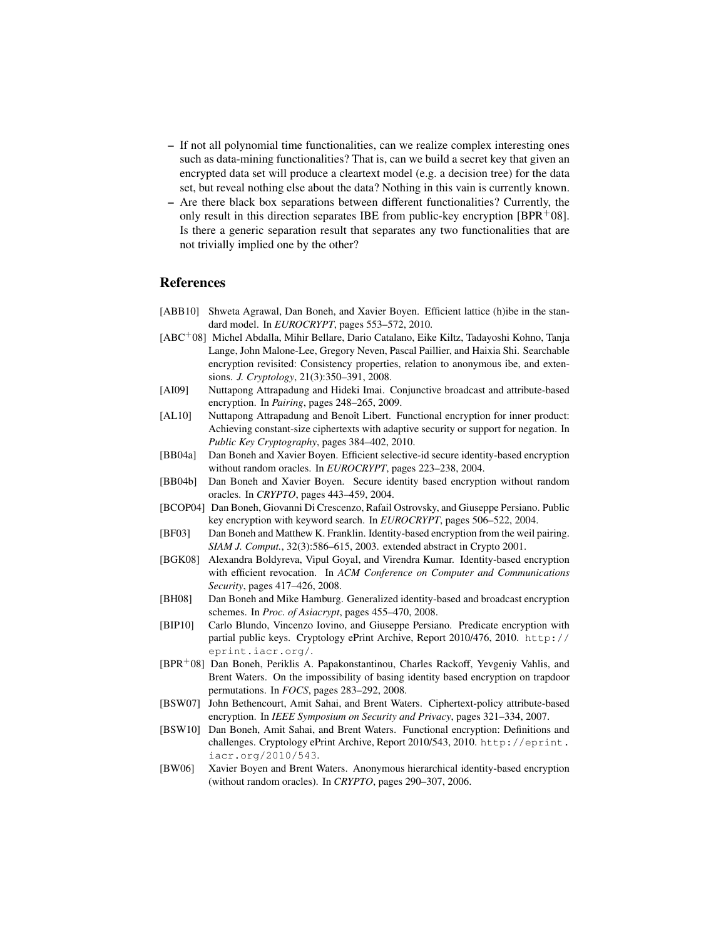- If not all polynomial time functionalities, can we realize complex interesting ones such as data-mining functionalities? That is, can we build a secret key that given an encrypted data set will produce a cleartext model (e.g. a decision tree) for the data set, but reveal nothing else about the data? Nothing in this vain is currently known.
- Are there black box separations between different functionalities? Currently, the only result in this direction separates IBE from public-key encryption [BPR+08]. Is there a generic separation result that separates any two functionalities that are not trivially implied one by the other?

# References

- [ABB10] Shweta Agrawal, Dan Boneh, and Xavier Boyen. Efficient lattice (h)ibe in the standard model. In *EUROCRYPT*, pages 553–572, 2010.
- [ABC<sup>+</sup>08] Michel Abdalla, Mihir Bellare, Dario Catalano, Eike Kiltz, Tadayoshi Kohno, Tanja Lange, John Malone-Lee, Gregory Neven, Pascal Paillier, and Haixia Shi. Searchable encryption revisited: Consistency properties, relation to anonymous ibe, and extensions. *J. Cryptology*, 21(3):350–391, 2008.
- [AI09] Nuttapong Attrapadung and Hideki Imai. Conjunctive broadcast and attribute-based encryption. In *Pairing*, pages 248–265, 2009.
- [AL10] Nuttapong Attrapadung and Benoît Libert. Functional encryption for inner product: Achieving constant-size ciphertexts with adaptive security or support for negation. In *Public Key Cryptography*, pages 384–402, 2010.
- [BB04a] Dan Boneh and Xavier Boyen. Efficient selective-id secure identity-based encryption without random oracles. In *EUROCRYPT*, pages 223–238, 2004.
- [BB04b] Dan Boneh and Xavier Boyen. Secure identity based encryption without random oracles. In *CRYPTO*, pages 443–459, 2004.
- [BCOP04] Dan Boneh, Giovanni Di Crescenzo, Rafail Ostrovsky, and Giuseppe Persiano. Public key encryption with keyword search. In *EUROCRYPT*, pages 506–522, 2004.
- [BF03] Dan Boneh and Matthew K. Franklin. Identity-based encryption from the weil pairing. *SIAM J. Comput.*, 32(3):586–615, 2003. extended abstract in Crypto 2001.
- [BGK08] Alexandra Boldyreva, Vipul Goyal, and Virendra Kumar. Identity-based encryption with efficient revocation. In *ACM Conference on Computer and Communications Security*, pages 417–426, 2008.
- [BH08] Dan Boneh and Mike Hamburg. Generalized identity-based and broadcast encryption schemes. In *Proc. of Asiacrypt*, pages 455–470, 2008.
- [BIP10] Carlo Blundo, Vincenzo Iovino, and Giuseppe Persiano. Predicate encryption with partial public keys. Cryptology ePrint Archive, Report 2010/476, 2010. http:// eprint.iacr.org/.
- [BPR<sup>+</sup>08] Dan Boneh, Periklis A. Papakonstantinou, Charles Rackoff, Yevgeniy Vahlis, and Brent Waters. On the impossibility of basing identity based encryption on trapdoor permutations. In *FOCS*, pages 283–292, 2008.
- [BSW07] John Bethencourt, Amit Sahai, and Brent Waters. Ciphertext-policy attribute-based encryption. In *IEEE Symposium on Security and Privacy*, pages 321–334, 2007.
- [BSW10] Dan Boneh, Amit Sahai, and Brent Waters. Functional encryption: Definitions and challenges. Cryptology ePrint Archive, Report 2010/543, 2010. http://eprint. iacr.org/2010/543.
- [BW06] Xavier Boyen and Brent Waters. Anonymous hierarchical identity-based encryption (without random oracles). In *CRYPTO*, pages 290–307, 2006.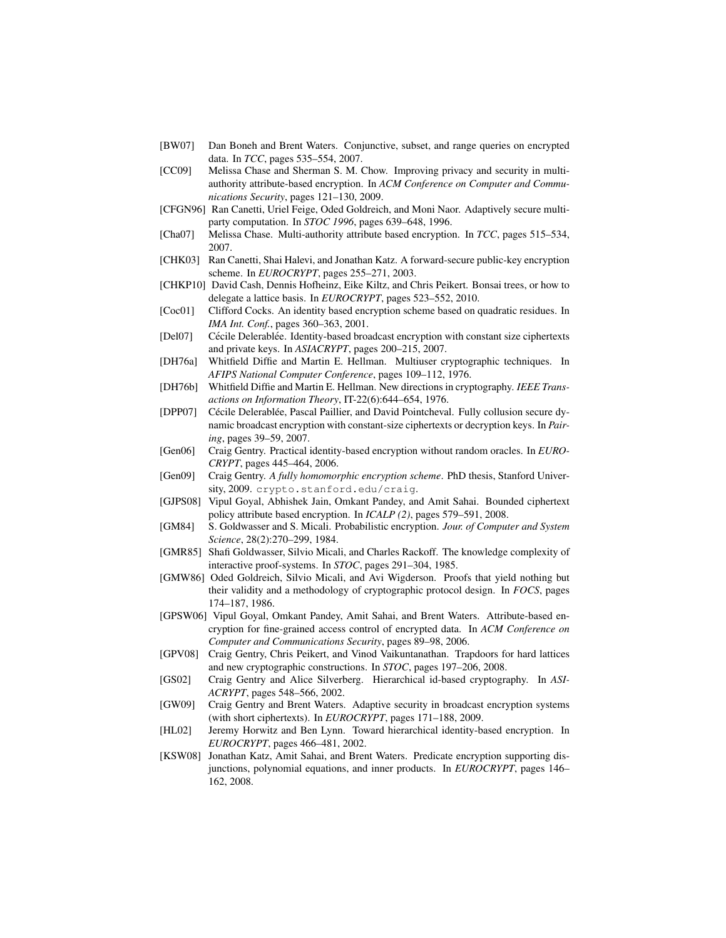- [BW07] Dan Boneh and Brent Waters. Conjunctive, subset, and range queries on encrypted data. In *TCC*, pages 535–554, 2007.
- [CC09] Melissa Chase and Sherman S. M. Chow. Improving privacy and security in multiauthority attribute-based encryption. In *ACM Conference on Computer and Communications Security*, pages 121–130, 2009.
- [CFGN96] Ran Canetti, Uriel Feige, Oded Goldreich, and Moni Naor. Adaptively secure multiparty computation. In *STOC 1996*, pages 639–648, 1996.
- [Cha07] Melissa Chase. Multi-authority attribute based encryption. In *TCC*, pages 515–534, 2007.
- [CHK03] Ran Canetti, Shai Halevi, and Jonathan Katz. A forward-secure public-key encryption scheme. In *EUROCRYPT*, pages 255–271, 2003.
- [CHKP10] David Cash, Dennis Hofheinz, Eike Kiltz, and Chris Peikert. Bonsai trees, or how to delegate a lattice basis. In *EUROCRYPT*, pages 523–552, 2010.
- [Coc01] Clifford Cocks. An identity based encryption scheme based on quadratic residues. In *IMA Int. Conf.*, pages 360–363, 2001.
- [Del07] Cécile Delerablée. Identity-based broadcast encryption with constant size ciphertexts and private keys. In *ASIACRYPT*, pages 200–215, 2007.
- [DH76a] Whitfield Diffie and Martin E. Hellman. Multiuser cryptographic techniques. In *AFIPS National Computer Conference*, pages 109–112, 1976.
- [DH76b] Whitfield Diffie and Martin E. Hellman. New directions in cryptography. *IEEE Transactions on Information Theory*, IT-22(6):644–654, 1976.
- [DPP07] Cécile Delerablée, Pascal Paillier, and David Pointcheval. Fully collusion secure dynamic broadcast encryption with constant-size ciphertexts or decryption keys. In *Pairing*, pages 39–59, 2007.
- [Gen06] Craig Gentry. Practical identity-based encryption without random oracles. In *EURO-CRYPT*, pages 445–464, 2006.
- [Gen09] Craig Gentry. *A fully homomorphic encryption scheme*. PhD thesis, Stanford University, 2009. crypto.stanford.edu/craig.
- [GJPS08] Vipul Goyal, Abhishek Jain, Omkant Pandey, and Amit Sahai. Bounded ciphertext policy attribute based encryption. In *ICALP (2)*, pages 579–591, 2008.
- [GM84] S. Goldwasser and S. Micali. Probabilistic encryption. *Jour. of Computer and System Science*, 28(2):270–299, 1984.
- [GMR85] Shafi Goldwasser, Silvio Micali, and Charles Rackoff. The knowledge complexity of interactive proof-systems. In *STOC*, pages 291–304, 1985.
- [GMW86] Oded Goldreich, Silvio Micali, and Avi Wigderson. Proofs that yield nothing but their validity and a methodology of cryptographic protocol design. In *FOCS*, pages 174–187, 1986.
- [GPSW06] Vipul Goyal, Omkant Pandey, Amit Sahai, and Brent Waters. Attribute-based encryption for fine-grained access control of encrypted data. In *ACM Conference on Computer and Communications Security*, pages 89–98, 2006.
- [GPV08] Craig Gentry, Chris Peikert, and Vinod Vaikuntanathan. Trapdoors for hard lattices and new cryptographic constructions. In *STOC*, pages 197–206, 2008.
- [GS02] Craig Gentry and Alice Silverberg. Hierarchical id-based cryptography. In *ASI-ACRYPT*, pages 548–566, 2002.
- [GW09] Craig Gentry and Brent Waters. Adaptive security in broadcast encryption systems (with short ciphertexts). In *EUROCRYPT*, pages 171–188, 2009.
- [HL02] Jeremy Horwitz and Ben Lynn. Toward hierarchical identity-based encryption. In *EUROCRYPT*, pages 466–481, 2002.
- [KSW08] Jonathan Katz, Amit Sahai, and Brent Waters. Predicate encryption supporting disjunctions, polynomial equations, and inner products. In *EUROCRYPT*, pages 146– 162, 2008.